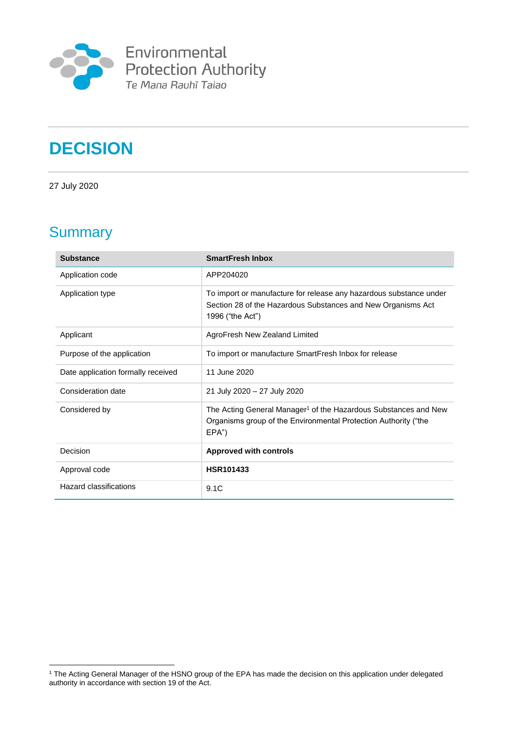

# **DECISION**

27 July 2020

## **Summary**

<u>.</u>

| <b>Substance</b>                   | <b>SmartFresh Inbox</b>                                                                                                                                    |
|------------------------------------|------------------------------------------------------------------------------------------------------------------------------------------------------------|
| Application code                   | APP204020                                                                                                                                                  |
| Application type                   | To import or manufacture for release any hazardous substance under<br>Section 28 of the Hazardous Substances and New Organisms Act<br>1996 ("the Act")     |
| Applicant                          | AgroFresh New Zealand Limited                                                                                                                              |
| Purpose of the application         | To import or manufacture SmartFresh Inbox for release                                                                                                      |
| Date application formally received | 11 June 2020                                                                                                                                               |
| Consideration date                 | 21 July 2020 - 27 July 2020                                                                                                                                |
| Considered by                      | The Acting General Manager <sup>1</sup> of the Hazardous Substances and New<br>Organisms group of the Environmental Protection Authority ("the<br>$EPA$ ") |
| Decision                           | <b>Approved with controls</b>                                                                                                                              |
| Approval code                      | <b>HSR101433</b>                                                                                                                                           |
| Hazard classifications             | 9.1C                                                                                                                                                       |

<sup>1</sup> The Acting General Manager of the HSNO group of the EPA has made the decision on this application under delegated authority in accordance with section 19 of the Act.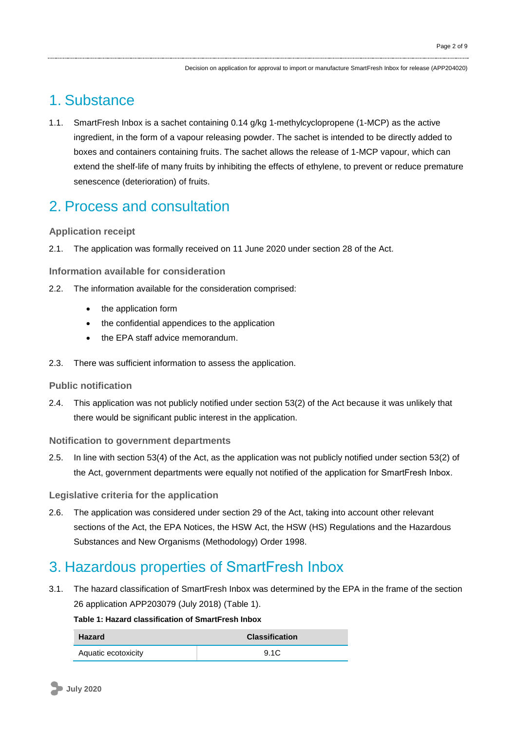## 1. Substance

1.1. SmartFresh Inbox is a sachet containing 0.14 g/kg 1-methylcyclopropene (1-MCP) as the active ingredient, in the form of a vapour releasing powder. The sachet is intended to be directly added to boxes and containers containing fruits. The sachet allows the release of 1-MCP vapour, which can extend the shelf-life of many fruits by inhibiting the effects of ethylene, to prevent or reduce premature senescence (deterioration) of fruits.

### 2. Process and consultation

#### **Application receipt**

2.1. The application was formally received on 11 June 2020 under section 28 of the Act.

**Information available for consideration**

- 2.2. The information available for the consideration comprised:
	- the application form
	- the confidential appendices to the application
	- the EPA staff advice memorandum.
- 2.3. There was sufficient information to assess the application.

#### **Public notification**

2.4. This application was not publicly notified under section 53(2) of the Act because it was unlikely that there would be significant public interest in the application.

#### **Notification to government departments**

2.5. In line with section 53(4) of the Act, as the application was not publicly notified under section 53(2) of the Act, government departments were equally not notified of the application for SmartFresh Inbox.

#### **Legislative criteria for the application**

2.6. The application was considered under section 29 of the Act, taking into account other relevant sections of the Act, the EPA Notices, the HSW Act, the HSW (HS) Regulations and the Hazardous Substances and New Organisms (Methodology) Order 1998.

### 3. Hazardous properties of SmartFresh Inbox

3.1. The hazard classification of SmartFresh Inbox was determined by the EPA in the frame of the section 26 application APP203079 (July 2018) (Table 1).

#### **Table 1: Hazard classification of SmartFresh Inbox**

| <b>Hazard</b>       | <b>Classification</b> |
|---------------------|-----------------------|
| Aquatic ecotoxicity | 9.1C                  |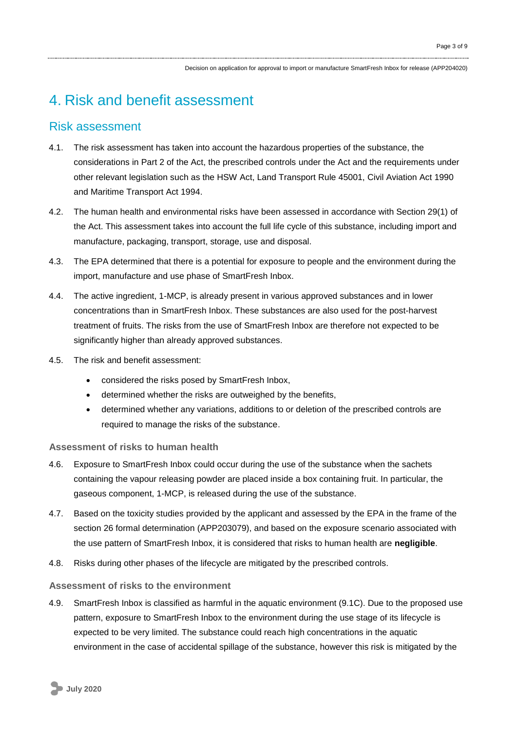## 4. Risk and benefit assessment

### Risk assessment

- 4.1. The risk assessment has taken into account the hazardous properties of the substance, the considerations in Part 2 of the Act, the prescribed controls under the Act and the requirements under other relevant legislation such as the HSW Act, Land Transport Rule 45001, Civil Aviation Act 1990 and Maritime Transport Act 1994.
- 4.2. The human health and environmental risks have been assessed in accordance with Section 29(1) of the Act. This assessment takes into account the full life cycle of this substance, including import and manufacture, packaging, transport, storage, use and disposal.
- 4.3. The EPA determined that there is a potential for exposure to people and the environment during the import, manufacture and use phase of SmartFresh Inbox.
- 4.4. The active ingredient, 1-MCP, is already present in various approved substances and in lower concentrations than in SmartFresh Inbox. These substances are also used for the post-harvest treatment of fruits. The risks from the use of SmartFresh Inbox are therefore not expected to be significantly higher than already approved substances.
- 4.5. The risk and benefit assessment:
	- considered the risks posed by SmartFresh Inbox,
	- determined whether the risks are outweighed by the benefits,
	- determined whether any variations, additions to or deletion of the prescribed controls are required to manage the risks of the substance.

#### **Assessment of risks to human health**

- 4.6. Exposure to SmartFresh Inbox could occur during the use of the substance when the sachets containing the vapour releasing powder are placed inside a box containing fruit. In particular, the gaseous component, 1-MCP, is released during the use of the substance.
- 4.7. Based on the toxicity studies provided by the applicant and assessed by the EPA in the frame of the section 26 formal determination (APP203079), and based on the exposure scenario associated with the use pattern of SmartFresh Inbox, it is considered that risks to human health are **negligible**.
- 4.8. Risks during other phases of the lifecycle are mitigated by the prescribed controls.

#### **Assessment of risks to the environment**

4.9. SmartFresh Inbox is classified as harmful in the aquatic environment (9.1C). Due to the proposed use pattern, exposure to SmartFresh Inbox to the environment during the use stage of its lifecycle is expected to be very limited. The substance could reach high concentrations in the aquatic environment in the case of accidental spillage of the substance, however this risk is mitigated by the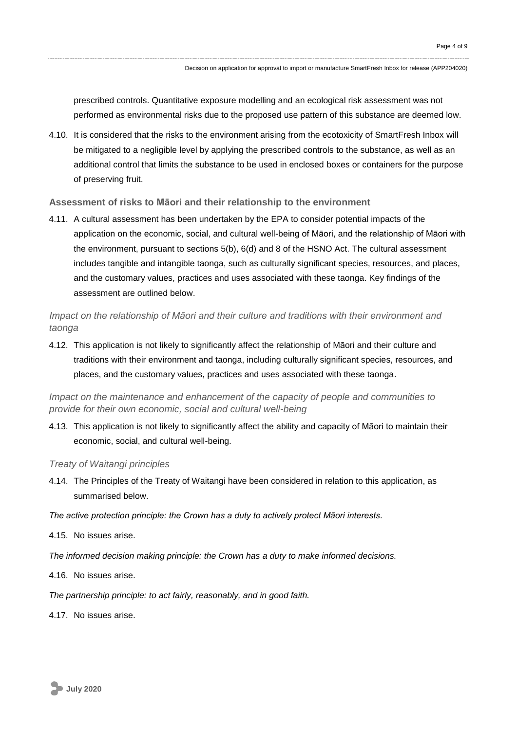prescribed controls. Quantitative exposure modelling and an ecological risk assessment was not performed as environmental risks due to the proposed use pattern of this substance are deemed low.

4.10. It is considered that the risks to the environment arising from the ecotoxicity of SmartFresh Inbox will be mitigated to a negligible level by applying the prescribed controls to the substance, as well as an additional control that limits the substance to be used in enclosed boxes or containers for the purpose of preserving fruit.

#### **Assessment of risks to Māori and their relationship to the environment**

4.11. A cultural assessment has been undertaken by the EPA to consider potential impacts of the application on the economic, social, and cultural well-being of Māori, and the relationship of Māori with the environment, pursuant to sections 5(b), 6(d) and 8 of the HSNO Act. The cultural assessment includes tangible and intangible taonga, such as culturally significant species, resources, and places, and the customary values, practices and uses associated with these taonga. Key findings of the assessment are outlined below.

*Impact on the relationship of Māori and their culture and traditions with their environment and taonga*

4.12. This application is not likely to significantly affect the relationship of Māori and their culture and traditions with their environment and taonga, including culturally significant species, resources, and places, and the customary values, practices and uses associated with these taonga.

*Impact on the maintenance and enhancement of the capacity of people and communities to provide for their own economic, social and cultural well-being*

4.13. This application is not likely to significantly affect the ability and capacity of Māori to maintain their economic, social, and cultural well-being.

#### *Treaty of Waitangi principles*

4.14. The Principles of the Treaty of Waitangi have been considered in relation to this application, as summarised below.

*The active protection principle: the Crown has a duty to actively protect Māori interests.*

- 4.15. No issues arise.
- *The informed decision making principle: the Crown has a duty to make informed decisions.*
- 4.16. No issues arise.

*The partnership principle: to act fairly, reasonably, and in good faith.*

4.17. No issues arise.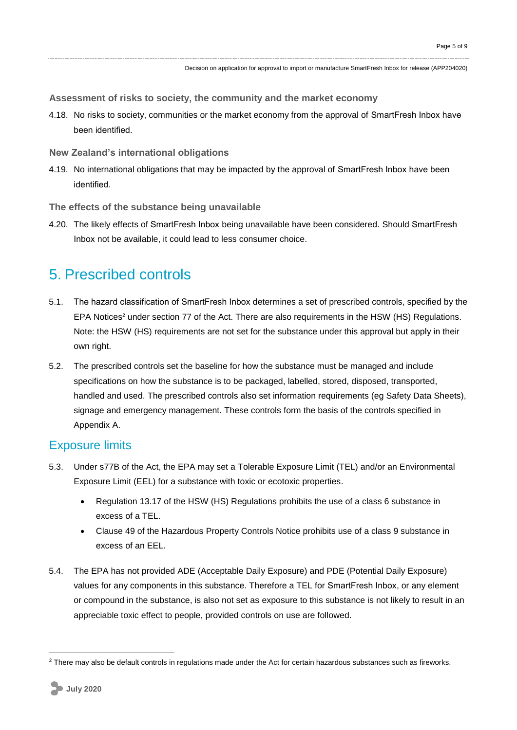**Assessment of risks to society, the community and the market economy**

- 4.18. No risks to society, communities or the market economy from the approval of SmartFresh Inbox have been identified.
- **New Zealand's international obligations**
- 4.19. No international obligations that may be impacted by the approval of SmartFresh Inbox have been identified.

**The effects of the substance being unavailable**

4.20. The likely effects of SmartFresh Inbox being unavailable have been considered. Should SmartFresh Inbox not be available, it could lead to less consumer choice.

### 5. Prescribed controls

- 5.1. The hazard classification of SmartFresh Inbox determines a set of prescribed controls, specified by the EPA Notices<sup>2</sup> under section 77 of the Act. There are also requirements in the HSW (HS) Regulations. Note: the HSW (HS) requirements are not set for the substance under this approval but apply in their own right.
- 5.2. The prescribed controls set the baseline for how the substance must be managed and include specifications on how the substance is to be packaged, labelled, stored, disposed, transported, handled and used. The prescribed controls also set information requirements (eg Safety Data Sheets), signage and emergency management. These controls form the basis of the controls specified in Appendix A.

#### Exposure limits

- 5.3. Under s77B of the Act, the EPA may set a Tolerable Exposure Limit (TEL) and/or an Environmental Exposure Limit (EEL) for a substance with toxic or ecotoxic properties.
	- Regulation 13.17 of the HSW (HS) Regulations prohibits the use of a class 6 substance in excess of a TEL.
	- Clause 49 of the Hazardous Property Controls Notice prohibits use of a class 9 substance in excess of an EEL.
- 5.4. The EPA has not provided ADE (Acceptable Daily Exposure) and PDE (Potential Daily Exposure) values for any components in this substance. Therefore a TEL for SmartFresh Inbox, or any element or compound in the substance, is also not set as exposure to this substance is not likely to result in an appreciable toxic effect to people, provided controls on use are followed.

1

<sup>&</sup>lt;sup>2</sup> There may also be default controls in regulations made under the Act for certain hazardous substances such as fireworks.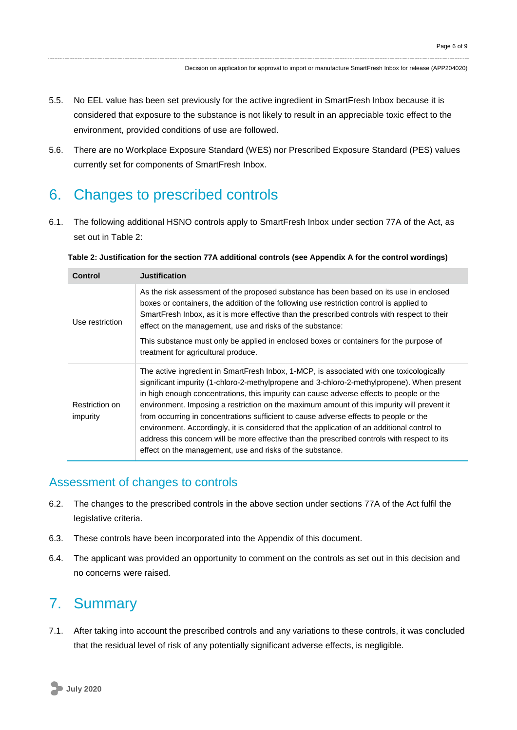- 5.5. No EEL value has been set previously for the active ingredient in SmartFresh Inbox because it is considered that exposure to the substance is not likely to result in an appreciable toxic effect to the environment, provided conditions of use are followed.
- 5.6. There are no Workplace Exposure Standard (WES) nor Prescribed Exposure Standard (PES) values currently set for components of SmartFresh Inbox.

### 6. Changes to prescribed controls

6.1. The following additional HSNO controls apply to SmartFresh Inbox under section 77A of the Act, as set out in Table 2:

| Control                    | <b>Justification</b>                                                                                                                                                                                                                                                                                                                                                                                                                                                                                                                                                                                                                                                                                                                 |
|----------------------------|--------------------------------------------------------------------------------------------------------------------------------------------------------------------------------------------------------------------------------------------------------------------------------------------------------------------------------------------------------------------------------------------------------------------------------------------------------------------------------------------------------------------------------------------------------------------------------------------------------------------------------------------------------------------------------------------------------------------------------------|
| Use restriction            | As the risk assessment of the proposed substance has been based on its use in enclosed<br>boxes or containers, the addition of the following use restriction control is applied to<br>SmartFresh Inbox, as it is more effective than the prescribed controls with respect to their<br>effect on the management, use and risks of the substance:<br>This substance must only be applied in enclosed boxes or containers for the purpose of<br>treatment for agricultural produce.                                                                                                                                                                                                                                                     |
| Restriction on<br>impurity | The active ingredient in SmartFresh Inbox, 1-MCP, is associated with one toxicologically<br>significant impurity (1-chloro-2-methylpropene and 3-chloro-2-methylpropene). When present<br>in high enough concentrations, this impurity can cause adverse effects to people or the<br>environment. Imposing a restriction on the maximum amount of this impurity will prevent it<br>from occurring in concentrations sufficient to cause adverse effects to people or the<br>environment. Accordingly, it is considered that the application of an additional control to<br>address this concern will be more effective than the prescribed controls with respect to its<br>effect on the management, use and risks of the substance. |

**Table 2: Justification for the section 77A additional controls (see Appendix A for the control wordings)**

### Assessment of changes to controls

- 6.2. The changes to the prescribed controls in the above section under sections 77A of the Act fulfil the legislative criteria.
- 6.3. These controls have been incorporated into the Appendix of this document.
- 6.4. The applicant was provided an opportunity to comment on the controls as set out in this decision and no concerns were raised.

## 7. Summary

7.1. After taking into account the prescribed controls and any variations to these controls, it was concluded that the residual level of risk of any potentially significant adverse effects, is negligible.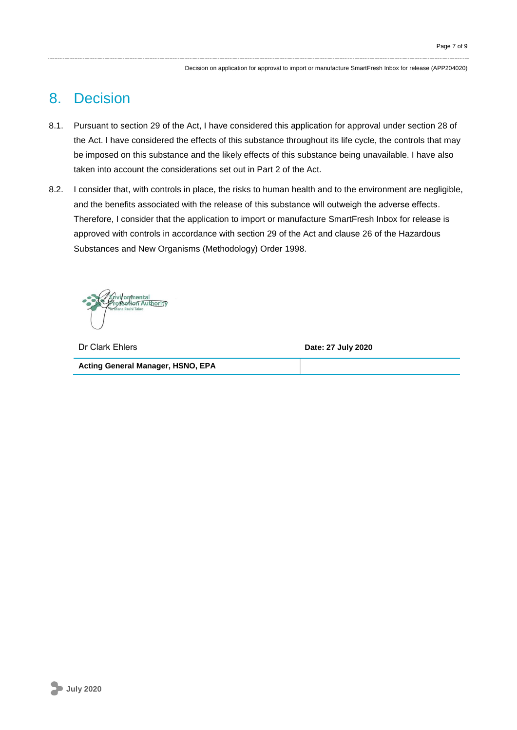Decision on application for approval to import or manufacture SmartFresh Inbox for release (APP204020)

### 8. Decision

- 8.1. Pursuant to section 29 of the Act, I have considered this application for approval under section 28 of the Act. I have considered the effects of this substance throughout its life cycle, the controls that may be imposed on this substance and the likely effects of this substance being unavailable. I have also taken into account the considerations set out in Part 2 of the Act.
- 8.2. I consider that, with controls in place, the risks to human health and to the environment are negligible, and the benefits associated with the release of this substance will outweigh the adverse effects. Therefore, I consider that the application to import or manufacture SmartFresh Inbox for release is approved with controls in accordance with section 29 of the Act and clause 26 of the Hazardous Substances and New Organisms (Methodology) Order 1998.

vi*f*on⁄mental Monon Authority

Dr Clark Ehlers **Date: 27 July 2020 Acting General Manager, HSNO, EPA**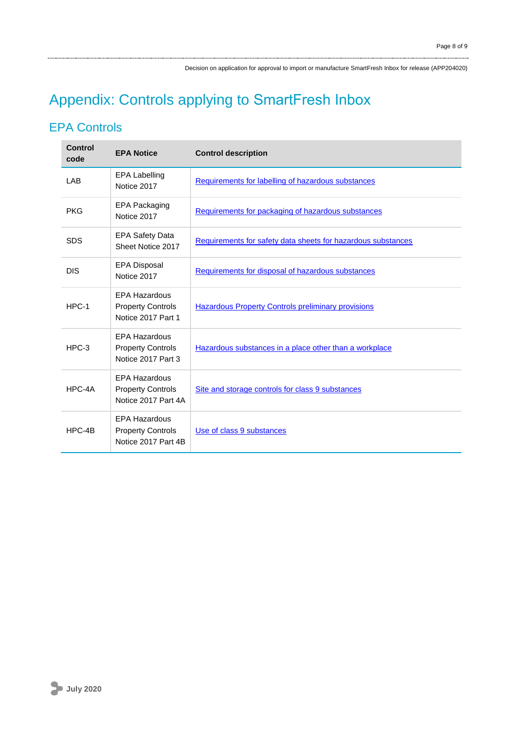Decision on application for approval to import or manufacture SmartFresh Inbox for release (APP204020)

# Appendix: Controls applying to SmartFresh Inbox

### EPA Controls

| <b>Control</b><br>code | <b>EPA Notice</b>                                                       | <b>Control description</b>                                   |
|------------------------|-------------------------------------------------------------------------|--------------------------------------------------------------|
| LAB                    | <b>EPA Labelling</b><br>Notice 2017                                     | Requirements for labelling of hazardous substances           |
| <b>PKG</b>             | EPA Packaging<br>Notice 2017                                            | Requirements for packaging of hazardous substances           |
| <b>SDS</b>             | <b>EPA Safety Data</b><br>Sheet Notice 2017                             | Requirements for safety data sheets for hazardous substances |
| <b>DIS</b>             | <b>EPA Disposal</b><br>Notice 2017                                      | Requirements for disposal of hazardous substances            |
| HPC-1                  | <b>EPA Hazardous</b><br><b>Property Controls</b><br>Notice 2017 Part 1  | <b>Hazardous Property Controls preliminary provisions</b>    |
| $HPC-3$                | <b>EPA Hazardous</b><br><b>Property Controls</b><br>Notice 2017 Part 3  | Hazardous substances in a place other than a workplace       |
| HPC-4A                 | <b>EPA Hazardous</b><br><b>Property Controls</b><br>Notice 2017 Part 4A | Site and storage controls for class 9 substances             |
| HPC-4B                 | <b>EPA Hazardous</b><br><b>Property Controls</b><br>Notice 2017 Part 4B | Use of class 9 substances                                    |